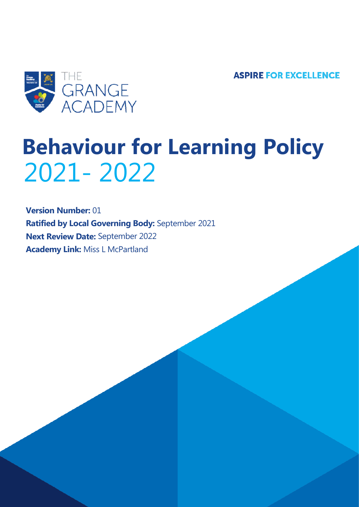**ASPIRE FOR EXCELLENCE** 



# **Behaviour for Learning Policy** 2021- 2022

**Version Number:** 01 **Ratified by Local Governing Body:** September 2021 **Next Review Date:** September 2022 **Academy Link:** Miss L McPartland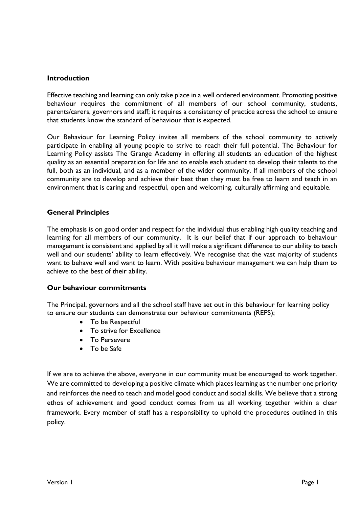#### **Introduction**

Effective teaching and learning can only take place in a well ordered environment. Promoting positive behaviour requires the commitment of all members of our school community, students, parents/carers, governors and staff; it requires a consistency of practice across the school to ensure that students know the standard of behaviour that is expected.

Our Behaviour for Learning Policy invites all members of the school community to actively participate in enabling all young people to strive to reach their full potential. The Behaviour for Learning Policy assists The Grange Academy in offering all students an education of the highest quality as an essential preparation for life and to enable each student to develop their talents to the full, both as an individual, and as a member of the wider community. If all members of the school community are to develop and achieve their best then they must be free to learn and teach in an environment that is caring and respectful, open and welcoming, culturally affirming and equitable.

#### **General Principles**

The emphasis is on good order and respect for the individual thus enabling high quality teaching and learning for all members of our community. It is our belief that if our approach to behaviour management is consistent and applied by all it will make a significant difference to our ability to teach well and our students' ability to learn effectively. We recognise that the vast majority of students want to behave well and want to learn. With positive behaviour management we can help them to achieve to the best of their ability.

#### **Our behaviour commitments**

The Principal, governors and all the school staff have set out in this behaviour for learning policy to ensure our students can demonstrate our behaviour commitments (REPS);

- To be Respectful
- To strive for Excellence
- To Persevere
- To be Safe

If we are to achieve the above, everyone in our community must be encouraged to work together. We are committed to developing a positive climate which places learning as the number one priority and reinforces the need to teach and model good conduct and social skills. We believe that a strong ethos of achievement and good conduct comes from us all working together within a clear framework. Every member of staff has a responsibility to uphold the procedures outlined in this policy.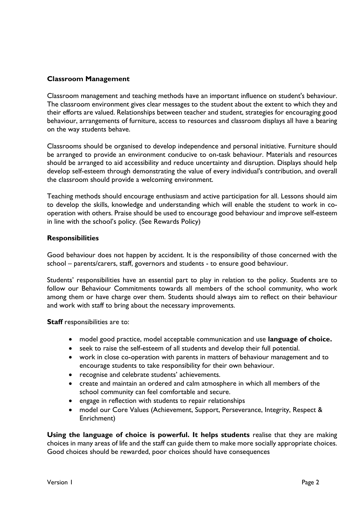#### **Classroom Management**

Classroom management and teaching methods have an important influence on student's behaviour. The classroom environment gives clear messages to the student about the extent to which they and their efforts are valued. Relationships between teacher and student, strategies for encouraging good behaviour, arrangements of furniture, access to resources and classroom displays all have a bearing on the way students behave.

Classrooms should be organised to develop independence and personal initiative. Furniture should be arranged to provide an environment conducive to on-task behaviour. Materials and resources should be arranged to aid accessibility and reduce uncertainty and disruption. Displays should help develop self-esteem through demonstrating the value of every individual's contribution, and overall the classroom should provide a welcoming environment.

Teaching methods should encourage enthusiasm and active participation for all. Lessons should aim to develop the skills, knowledge and understanding which will enable the student to work in cooperation with others. Praise should be used to encourage good behaviour and improve self-esteem in line with the school's policy. (See Rewards Policy)

#### **Responsibilities**

Good behaviour does not happen by accident. It is the responsibility of those concerned with the school – parents/carers, staff, governors and students - to ensure good behaviour.

Students' responsibilities have an essential part to play in relation to the policy. Students are to follow our Behaviour Commitments towards all members of the school community, who work among them or have charge over them. Students should always aim to reflect on their behaviour and work with staff to bring about the necessary improvements.

**Staff** responsibilities are to:

- model good practice, model acceptable communication and use **language of choice.**
- seek to raise the self-esteem of all students and develop their full potential.
- work in close co-operation with parents in matters of behaviour management and to encourage students to take responsibility for their own behaviour.
- recognise and celebrate students' achievements.
- create and maintain an ordered and calm atmosphere in which all members of the school community can feel comfortable and secure.
- engage in reflection with students to repair relationships
- model our Core Values (Achievement, Support, Perseverance, Integrity, Respect & Enrichment)

**Using the language of choice is powerful. It helps students** realise that they are making choices in many areas of life and the staff can guide them to make more socially appropriate choices. Good choices should be rewarded, poor choices should have consequences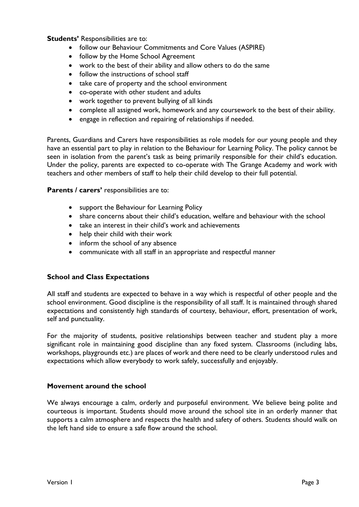**Students'** Responsibilities are to:

- follow our Behaviour Commitments and Core Values (ASPIRE)
- follow by the Home School Agreement
- work to the best of their ability and allow others to do the same
- follow the instructions of school staff
- take care of property and the school environment
- co-operate with other student and adults
- work together to prevent bullying of all kinds
- complete all assigned work, homework and any coursework to the best of their ability.
- engage in reflection and repairing of relationships if needed.

Parents, Guardians and Carers have responsibilities as role models for our young people and they have an essential part to play in relation to the Behaviour for Learning Policy. The policy cannot be seen in isolation from the parent's task as being primarily responsible for their child's education. Under the policy, parents are expected to co-operate with The Grange Academy and work with teachers and other members of staff to help their child develop to their full potential.

**Parents / carers'** responsibilities are to:

- support the Behaviour for Learning Policy
- share concerns about their child's education, welfare and behaviour with the school
- take an interest in their child's work and achievements
- help their child with their work
- inform the school of any absence
- communicate with all staff in an appropriate and respectful manner

#### **School and Class Expectations**

All staff and students are expected to behave in a way which is respectful of other people and the school environment. Good discipline is the responsibility of all staff. It is maintained through shared expectations and consistently high standards of courtesy, behaviour, effort, presentation of work, self and punctuality.

For the majority of students, positive relationships between teacher and student play a more significant role in maintaining good discipline than any fixed system. Classrooms (including labs, workshops, playgrounds etc.) are places of work and there need to be clearly understood rules and expectations which allow everybody to work safely, successfully and enjoyably.

#### **Movement around the school**

We always encourage a calm, orderly and purposeful environment. We believe being polite and courteous is important. Students should move around the school site in an orderly manner that supports a calm atmosphere and respects the health and safety of others. Students should walk on the left hand side to ensure a safe flow around the school.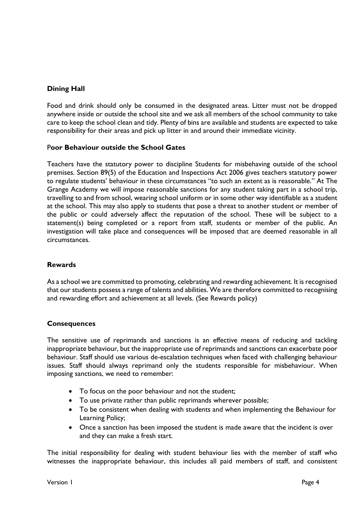## **Dining Hall**

Food and drink should only be consumed in the designated areas. Litter must not be dropped anywhere inside or outside the school site and we ask all members of the school community to take care to keep the school clean and tidy. Plenty of bins are available and students are expected to take responsibility for their areas and pick up litter in and around their immediate vicinity.

## P**oor Behaviour outside the School Gates**

Teachers have the statutory power to discipline Students for misbehaving outside of the school premises. Section 89(5) of the Education and Inspections Act 2006 gives teachers statutory power to regulate students' behaviour in these circumstances "to such an extent as is reasonable." At The Grange Academy we will impose reasonable sanctions for any student taking part in a school trip, travelling to and from school, wearing school uniform or in some other way identifiable as a student at the school. This may also apply to students that pose a threat to another student or member of the public or could adversely affect the reputation of the school. These will be subject to a statement(s) being completed or a report from staff, students or member of the public. An investigation will take place and consequences will be imposed that are deemed reasonable in all circumstances.

#### **Rewards**

As a school we are committed to promoting, celebrating and rewarding achievement. It is recognised that our students possess a range of talents and abilities. We are therefore committed to recognising and rewarding effort and achievement at all levels. (See Rewards policy)

#### **Consequences**

The sensitive use of reprimands and sanctions is an effective means of reducing and tackling inappropriate behaviour, but the inappropriate use of reprimands and sanctions can exacerbate poor behaviour. Staff should use various de-escalation techniques when faced with challenging behaviour issues. Staff should always reprimand only the students responsible for misbehaviour. When imposing sanctions, we need to remember:

- To focus on the poor behaviour and not the student;
- To use private rather than public reprimands wherever possible;
- To be consistent when dealing with students and when implementing the Behaviour for Learning Policy;
- Once a sanction has been imposed the student is made aware that the incident is over and they can make a fresh start.

The initial responsibility for dealing with student behaviour lies with the member of staff who witnesses the inappropriate behaviour, this includes all paid members of staff, and consistent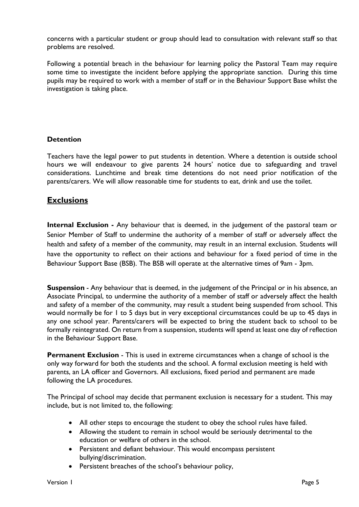concerns with a particular student or group should lead to consultation with relevant staff so that problems are resolved.

Following a potential breach in the behaviour for learning policy the Pastoral Team may require some time to investigate the incident before applying the appropriate sanction. During this time pupils may be required to work with a member of staff or in the Behaviour Support Base whilst the investigation is taking place.

## **Detention**

Teachers have the legal power to put students in detention. Where a detention is outside school hours we will endeavour to give parents 24 hours' notice due to safeguarding and travel considerations. Lunchtime and break time detentions do not need prior notification of the parents/carers. We will allow reasonable time for students to eat, drink and use the toilet.

# **Exclusions**

**Internal Exclusion -** Any behaviour that is deemed, in the judgement of the pastoral team or Senior Member of Staff to undermine the authority of a member of staff or adversely affect the health and safety of a member of the community, may result in an internal exclusion. Students will have the opportunity to reflect on their actions and behaviour for a fixed period of time in the Behaviour Support Base (BSB). The BSB will operate at the alternative times of 9am - 3pm.

**Suspension** - Any behaviour that is deemed, in the judgement of the Principal or in his absence, an Associate Principal, to undermine the authority of a member of staff or adversely affect the health and safety of a member of the community, may result a student being suspended from school. This would normally be for 1 to 5 days but in very exceptional circumstances could be up to 45 days in any one school year. Parents/carers will be expected to bring the student back to school to be formally reintegrated. On return from a suspension, students will spend at least one day of reflection in the Behaviour Support Base.

**Permanent Exclusion** - This is used in extreme circumstances when a change of school is the only way forward for both the students and the school. A formal exclusion meeting is held with parents, an LA officer and Governors. All exclusions, fixed period and permanent are made following the LA procedures.

The Principal of school may decide that permanent exclusion is necessary for a student. This may include, but is not limited to, the following:

- All other steps to encourage the student to obey the school rules have failed.
- Allowing the student to remain in school would be seriously detrimental to the education or welfare of others in the school.
- Persistent and defiant behaviour. This would encompass persistent bullying/discrimination.
- Persistent breaches of the school's behaviour policy,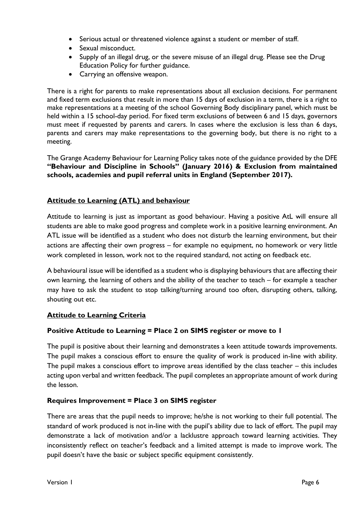- Serious actual or threatened violence against a student or member of staff.
- Sexual misconduct.
- Supply of an illegal drug, or the severe misuse of an illegal drug. Please see the Drug Education Policy for further guidance.
- Carrying an offensive weapon.

There is a right for parents to make representations about all exclusion decisions. For permanent and fixed term exclusions that result in more than 15 days of exclusion in a term, there is a right to make representations at a meeting of the school Governing Body disciplinary panel, which must be held within a 15 school-day period. For fixed term exclusions of between 6 and 15 days, governors must meet if requested by parents and carers. In cases where the exclusion is less than 6 days, parents and carers may make representations to the governing body, but there is no right to a meeting.

The Grange Academy Behaviour for Learning Policy takes note of the guidance provided by the DFE **"Behaviour and Discipline in Schools" (January 2016) & Exclusion from maintained schools, academies and pupil referral units in England (September 2017).**

# **Attitude to Learning (ATL) and behaviour**

Attitude to learning is just as important as good behaviour. Having a positive AtL will ensure all students are able to make good progress and complete work in a positive learning environment. An ATL issue will be identified as a student who does not disturb the learning environment, but their actions are affecting their own progress – for example no equipment, no homework or very little work completed in lesson, work not to the required standard, not acting on feedback etc.

A behavioural issue will be identified as a student who is displaying behaviours that are affecting their own learning, the learning of others and the ability of the teacher to teach – for example a teacher may have to ask the student to stop talking/turning around too often, disrupting others, talking, shouting out etc.

## **Attitude to Learning Criteria**

## **Positive Attitude to Learning = Place 2 on SIMS register or move to 1**

The pupil is positive about their learning and demonstrates a keen attitude towards improvements. The pupil makes a conscious effort to ensure the quality of work is produced in-line with ability. The pupil makes a conscious effort to improve areas identified by the class teacher – this includes acting upon verbal and written feedback. The pupil completes an appropriate amount of work during the lesson.

#### **Requires Improvement = Place 3 on SIMS register**

There are areas that the pupil needs to improve; he/she is not working to their full potential. The standard of work produced is not in-line with the pupil's ability due to lack of effort. The pupil may demonstrate a lack of motivation and/or a lacklustre approach toward learning activities. They inconsistently reflect on teacher's feedback and a limited attempt is made to improve work. The pupil doesn't have the basic or subject specific equipment consistently.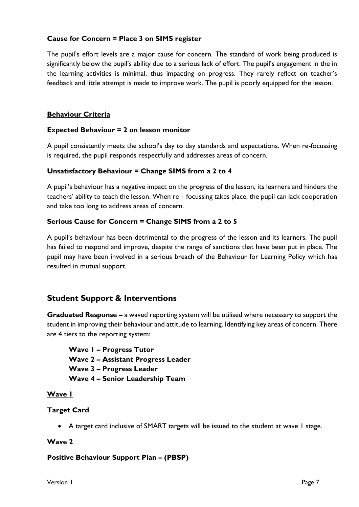## **Cause for Concern = Place 3 on SIMS register**

The pupil's effort levels are a major cause for concern. The standard of work being produced is significantly below the pupil's ability due to a serious lack of effort. The pupil's engagement in the in the learning activities is minimal, thus impacting on progress. They rarely reflect on teacher's feedback and little attempt is made to improve work. The pupil is poorly equipped for the lesson.

#### **Behaviour Criteria**

#### **Expected Behaviour = 2 on lesson monitor**

A pupil consistently meets the school's day to day standards and expectations. When re-focussing is required, the pupil responds respectfully and addresses areas of concern.

#### **Unsatisfactory Behaviour = Change SIMS from a 2 to 4**

A pupil's behaviour has a negative impact on the progress of the lesson, its learners and hinders the teachers' ability to teach the lesson. When re – focussing takes place, the pupil can lack cooperation and take too long to address areas of concern.

#### **Serious Cause for Concern = Change SIMS from a 2 to 5**

A pupil's behaviour has been detrimental to the progress of the lesson and its learners. The pupil has failed to respond and improve, despite the range of sanctions that have been put in place. The pupil may have been involved in a serious breach of the Behaviour for Learning Policy which has resulted in mutual support.

# **Student Support & Interventions**

**Graduated Response –** a waved reporting system will be utilised where necessary to support the student in improving their behaviour and attitude to learning. Identifying key areas of concern. There are 4 tiers to the reporting system:

**Wave 1 – Progress Tutor Wave 2 – Assistant Progress Leader Wave 3 – Progress Leader Wave 4 – Senior Leadership Team** 

#### **Wave 1**

#### **Target Card**

• A target card inclusive of SMART targets will be issued to the student at wave 1 stage.

## **Wave 2**

## **Positive Behaviour Support Plan – (PBSP)**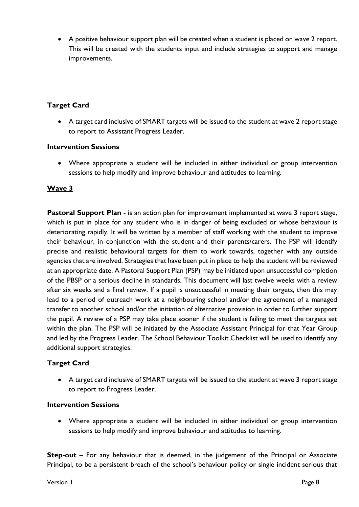• A positive behaviour support plan will be created when a student is placed on wave 2 report. This will be created with the students input and include strategies to support and manage improvements.

## **Target Card**

• A target card inclusive of SMART targets will be issued to the student at wave 2 report stage to report to Assistant Progress Leader.

## **Intervention Sessions**

• Where appropriate a student will be included in either individual or group intervention sessions to help modify and improve behaviour and attitudes to learning.

# **Wave 3**

**Pastoral Support Plan** - is an action plan for improvement implemented at wave 3 report stage, which is put in place for any student who is in danger of being excluded or whose behaviour is deteriorating rapidly. It will be written by a member of staff working with the student to improve their behaviour, in conjunction with the student and their parents/carers. The PSP will identify precise and realistic behavioural targets for them to work towards, together with any outside agencies that are involved. Strategies that have been put in place to help the student will be reviewed at an appropriate date. A Pastoral Support Plan (PSP) may be initiated upon unsuccessful completion of the PBSP or a serious decline in standards. This document will last twelve weeks with a review after six weeks and a final review. If a pupil is unsuccessful in meeting their targets, then this may lead to a period of outreach work at a neighbouring school and/or the agreement of a managed transfer to another school and/or the initiation of alternative provision in order to further support the pupil. A review of a PSP may take place sooner if the student is failing to meet the targets set within the plan. The PSP will be initiated by the Associate Assistant Principal for that Year Group and led by the Progress Leader. The School Behaviour Toolkit Checklist will be used to identify any additional support strategies.

## **Target Card**

• A target card inclusive of SMART targets will be issued to the student at wave 3 report stage to report to Progress Leader.

## **Intervention Sessions**

• Where appropriate a student will be included in either individual or group intervention sessions to help modify and improve behaviour and attitudes to learning.

**Step-out** – For any behaviour that is deemed, in the judgement of the Principal or Associate Principal, to be a persistent breach of the school's behaviour policy or single incident serious that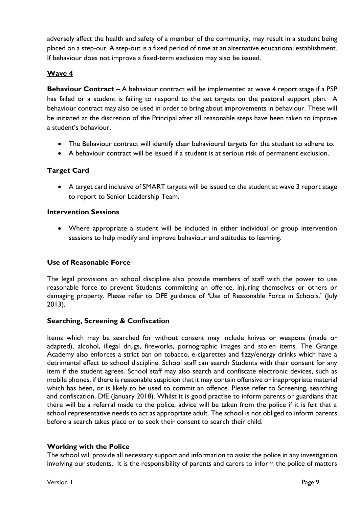adversely affect the health and safety of a member of the community, may result in a student being placed on a step-out. A step-out is a fixed period of time at an alternative educational establishment. If behaviour does not improve a fixed-term exclusion may also be issued.

# **Wave 4**

**Behaviour Contract –** A behaviour contract will be implemented at wave 4 report stage if a PSP has failed or a student is failing to respond to the set targets on the pastoral support plan. A behaviour contract may also be used in order to bring about improvements in behaviour. These will be initiated at the discretion of the Principal after all reasonable steps have been taken to improve a student's behaviour.

- The Behaviour contract will identify clear behavioural targets for the student to adhere to.
- A behaviour contract will be issued if a student is at serious risk of permanent exclusion.

## **Target Card**

• A target card inclusive of SMART targets will be issued to the student at wave 3 report stage to report to Senior Leadership Team.

#### **Intervention Sessions**

• Where appropriate a student will be included in either individual or group intervention sessions to help modify and improve behaviour and attitudes to learning.

#### **Use of Reasonable Force**

The legal provisions on school discipline also provide members of staff with the power to use reasonable force to prevent Students committing an offence, injuring themselves or others or damaging property. Please refer to DFE guidance of 'Use of Reasonable Force in Schools.' (July 2013).

#### **Searching, Screening & Confiscation**

Items which may be searched for without consent may include knives or weapons (made or adapted), alcohol, illegal drugs, fireworks, pornographic images and stolen items. The Grange Academy also enforces a strict ban on tobacco, e-cigarettes and fizzy/energy drinks which have a detrimental effect to school discipline. School staff can search Students with their consent for any item if the student agrees. School staff may also search and confiscate electronic devices, such as mobile phones, if there is reasonable suspicion that it may contain offensive or inappropriate material which has been, or is likely to be used to commit an offence. Please refer to Screening, searching and confiscation, DfE (January 2018). Whilst it is good practise to inform parents or guardians that there will be a referral made to the police, advice will be taken from the police if it is felt that a school representative needs to act as appropriate adult. The school is not obliged to inform parents before a search takes place or to seek their consent to search their child.

#### **Working with the Police**

The school will provide all necessary support and information to assist the police in any investigation involving our students. It is the responsibility of parents and carers to inform the police of matters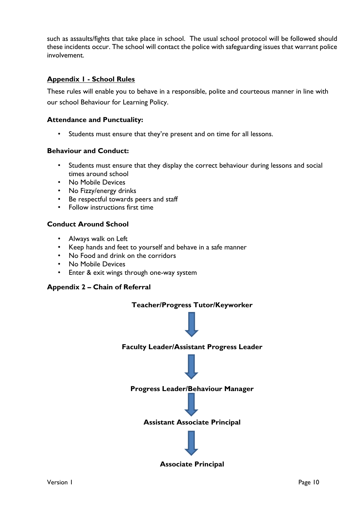such as assaults/fights that take place in school. The usual school protocol will be followed should these incidents occur. The school will contact the police with safeguarding issues that warrant police involvement.

## **Appendix 1 - School Rules**

These rules will enable you to behave in a responsible, polite and courteous manner in line with our school Behaviour for Learning Policy.

#### **Attendance and Punctuality:**

• Students must ensure that they're present and on time for all lessons.

#### **Behaviour and Conduct:**

- Students must ensure that they display the correct behaviour during lessons and social times around school
- No Mobile Devices
- No Fizzy/energy drinks
- Be respectful towards peers and staff
- Follow instructions first time

#### **Conduct Around School**

- Always walk on Left
- Keep hands and feet to yourself and behave in a safe manner
- No Food and drink on the corridors
- No Mobile Devices
- Enter & exit wings through one-way system

#### **Appendix 2 – Chain of Referral**